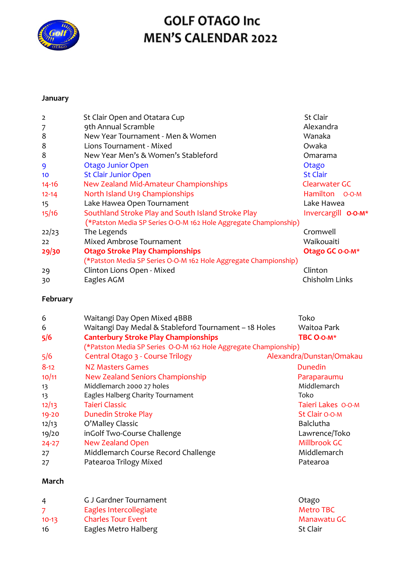

# **GOLF OTAGO Inc** MEN'S CALENDAR 2022

# **January**

| $\overline{2}$  | St Clair Open and Otatara Cup                                    | <b>St Clair</b>     |
|-----------------|------------------------------------------------------------------|---------------------|
| 7               | 9th Annual Scramble                                              | Alexandra           |
| 8               | New Year Tournament - Men & Women                                | Wanaka              |
| 8               | Lions Tournament - Mixed                                         | Owaka               |
| 8               | New Year Men's & Women's Stableford                              | Omarama             |
| 9               | <b>Otago Junior Open</b>                                         | Otago               |
| 10 <sup>°</sup> | <b>St Clair Junior Open</b>                                      | <b>St Clair</b>     |
| $14 - 16$       | New Zealand Mid-Amateur Championships                            | Clearwater GC       |
| $12 - 14$       | North Island U19 Championships                                   | Hamilton O-O-M      |
| 15              | Lake Hawea Open Tournament                                       | Lake Hawea          |
| 15/16           | Southland Stroke Play and South Island Stroke Play               | Invercargill O-O-M* |
|                 | (*Patston Media SP Series O-O-M 162 Hole Aggregate Championship) |                     |
| 22/23           | The Legends                                                      | Cromwell            |
| 22              | Mixed Ambrose Tournament                                         | Waikouaiti          |
| 29/30           | <b>Otago Stroke Play Championships</b>                           | Otago GC 0-0-M*     |
|                 | (*Patston Media SP Series O-O-M 162 Hole Aggregate Championship) |                     |
| 29              | Clinton Lions Open - Mixed                                       | Clinton             |
| 30              | Eagles AGM                                                       | Chisholm Links      |

# **February**

| 6<br>6<br>5/6 | Waitangi Day Open Mixed 4BBB<br>Waitangi Day Medal & Stableford Tournament - 18 Holes<br><b>Canterbury Stroke Play Championships</b><br>(*Patston Media SP Series O-O-M 162 Hole Aggregate Championship) | Toko<br>Waitoa Park<br>TBC O-O-M* |
|---------------|----------------------------------------------------------------------------------------------------------------------------------------------------------------------------------------------------------|-----------------------------------|
| 5/6           | Central Otago 3 - Course Trilogy                                                                                                                                                                         | Alexandra/Dunstan/Omakau          |
| $8-12$        | NZ Masters Games                                                                                                                                                                                         | Dunedin                           |
| 10/11         | New Zealand Seniors Championship                                                                                                                                                                         | Paraparaumu                       |
| 13            | Middlemarch 2000 27 holes                                                                                                                                                                                | Middlemarch                       |
| 13            | Eagles Halberg Charity Tournament                                                                                                                                                                        | Toko                              |
| 12/13         | Tajeri Classic                                                                                                                                                                                           | Taieri Lakes O-O-M                |
| $19 - 20$     | <b>Dunedin Stroke Play</b>                                                                                                                                                                               | St Clair O-O-M                    |
| 12/13         | O'Malley Classic                                                                                                                                                                                         | <b>Balclutha</b>                  |
| 19/20         | inGolf Two-Course Challenge                                                                                                                                                                              | Lawrence/Toko                     |
| $24 - 27$     | <b>New Zealand Open</b>                                                                                                                                                                                  | Millbrook GC                      |
| 27            | Middlemarch Course Record Challenge                                                                                                                                                                      | Middlemarch                       |
| 27            | Patearoa Trilogy Mixed                                                                                                                                                                                   | Patearoa                          |

#### **March**

| 4       | G J Gardner Tournament    | Otago           |
|---------|---------------------------|-----------------|
|         | Eagles Intercollegiate    | Metro TBC       |
| $10-13$ | <b>Charles Tour Event</b> | Manawatu GC     |
| 16      | Eagles Metro Halberg      | <b>St Clair</b> |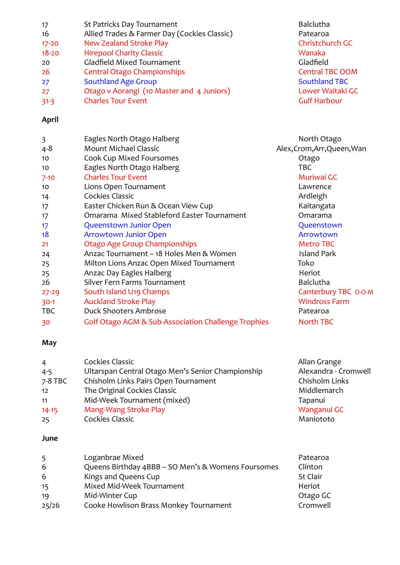| 17        | St Patricks Day Tournament                   | Balclutha              |
|-----------|----------------------------------------------|------------------------|
| 16        | Allied Trades & Farmer Day (Cockies Classic) | Patearoa               |
| $17 - 20$ | <b>New Zealand Stroke Play</b>               | Christchurch GC        |
| $18 - 20$ | <b>Hirepool Charity Classic</b>              | Wanaka                 |
| 20        | Gladfield Mixed Tournament                   | Gladfield              |
| -26       | <b>Central Otago Championships</b>           | <b>Central TBC OOM</b> |
| 27        | <b>Southland Age Group</b>                   | <b>Southland TBC</b>   |
| 27        | Otago v Aorangi (10 Master and 4 Juniors)    | Lower Waitaki GC       |
| $31 - 3$  | <b>Charles Tour Event</b>                    | <b>Gulf Harbour</b>    |

### **April**

| 3         | Eagles North Otago Halberg                          | North Otago                 |
|-----------|-----------------------------------------------------|-----------------------------|
| $4 - 8$   | <b>Mount Michael Classic</b>                        | Alex, Crom, Arr, Queen, Wan |
| 10        | <b>Cook Cup Mixed Foursomes</b>                     | Otago                       |
| 10        | Eagles North Otago Halberg                          | <b>TBC</b>                  |
| $7 - 10$  | <b>Charles Tour Event</b>                           | Muriwai GC                  |
| 10        | Lions Open Tournament                               | Lawrence                    |
| 14        | Cockies Classic                                     | Ardleigh                    |
| 17        | Easter Chicken Run & Ocean View Cup                 | Kaitangata                  |
| 17        | Omarama Mixed Stableford Easter Tournament          | Omarama                     |
| 17        | <b>Queenstown Junior Open</b>                       | Queenstown                  |
| 18        | <b>Arrowtown Junior Open</b>                        | Arrowtown                   |
| 21        | <b>Otago Age Group Championships</b>                | <b>Metro TBC</b>            |
| 24        | Anzac Tournament - 18 Holes Men & Women             | <b>Island Park</b>          |
| 25        | Milton Lions Anzac Open Mixed Tournament            | Toko                        |
| 25        | Anzac Day Eagles Halberg                            | Heriot                      |
| 26        | Silver Fern Farms Tournament                        | <b>Balclutha</b>            |
| $27 - 29$ | South Island U19 Champs                             | Canterbury TBC O-O-M        |
| $30-1$    | <b>Auckland Stroke Play</b>                         | <b>Windross Farm</b>        |
| TBC       | <b>Duck Shooters Ambrose</b>                        | Patearoa                    |
| 30        | Golf Otago AGM & Sub-Association Challenge Trophies | <b>North TBC</b>            |

# **May**

| $\overline{4}$ | Cockies Classic                                   | Allan Grange         |
|----------------|---------------------------------------------------|----------------------|
| $4 - 5$        | Ultarspan Central Otago Men's Senior Championship | Alexandra - Cromwell |
| 7-8 TBC        | Chisholm Links Pairs Open Tournament              | Chisholm Links       |
| 12             | The Original Cockies Classic                      | Middlemarch          |
| 11             | Mid-Week Tournament (mixed)                       | Tapanui              |
| $14 - 15$      | Mang-Wang Stroke Play                             | Wanganui GC          |
| 25             | Cockies Classic                                   | Maniototo            |

### **June**

| 5     | Loganbrae Mixed                                    | Patearoa        |
|-------|----------------------------------------------------|-----------------|
| 6     | Queens Birthday 4BBB - SO Men's & Womens Foursomes | Clinton         |
| 6     | Kings and Queens Cup                               | <b>St Clair</b> |
| 15    | Mixed Mid-Week Tournament                          | Heriot          |
| 19    | Mid-Winter Cup                                     | Otago GC        |
| 25/26 | Cooke Howlison Brass Monkey Tournament             | Cromwell        |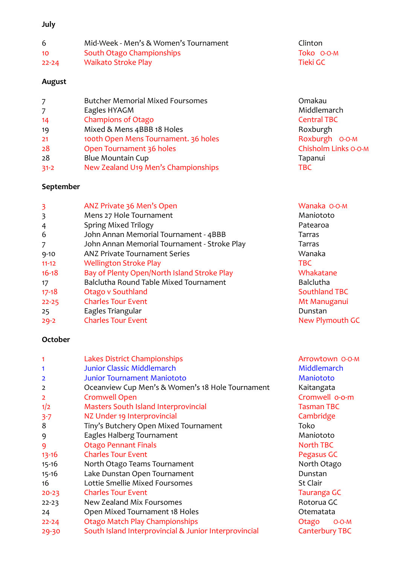# **July**

| 6               | Mid-Week - Men's & Women's Tournament | Clinton    |
|-----------------|---------------------------------------|------------|
| 10 <sup>°</sup> | South Otago Championships             | Toko 0-0-M |
| $22 - 24$       | <b>Waikato Stroke Play</b>            | Tieki GC   |

# **August**

| $\overline{7}$ | <b>Butcher Memorial Mixed Foursomes</b> | Omakau               |
|----------------|-----------------------------------------|----------------------|
| $\overline{7}$ | Eagles HYAGM                            | Middlemarch          |
| 14             | <b>Champions of Otago</b>               | <b>Central TBC</b>   |
| 19             | Mixed & Mens 4BBB 18 Holes              | Roxburgh             |
| 21             | 100th Open Mens Tournament. 36 holes    | Roxburgh 0-0-M       |
| 28             | Open Tournament 36 holes                | Chisholm Links O-O-M |
| 28             | <b>Blue Mountain Cup</b>                | Tapanui              |
| $31 - 2$       | New Zealand U19 Men's Championships     | TBC                  |

# **September**

| 3         | ANZ Private 36 Men's Open<br>Mens 27 Hole Tournament | Wanaka O-O-M<br>Maniototo |
|-----------|------------------------------------------------------|---------------------------|
| 3         |                                                      |                           |
| 4         | <b>Spring Mixed Trilogy</b>                          | Patearoa                  |
| 6         | John Annan Memorial Tournament - 4BBB                | Tarras                    |
|           | John Annan Memorial Tournament - Stroke Play         | Tarras                    |
| $9 - 10$  | ANZ Private Tournament Series                        | Wanaka                    |
| $11 - 12$ | <b>Wellington Stroke Play</b>                        | <b>TBC</b>                |
| $16 - 18$ | Bay of Plenty Open/North Island Stroke Play          | Whakatane                 |
| 17        | Balclutha Round Table Mixed Tournament               | <b>Balclutha</b>          |
| $17 - 18$ | Otago v Southland                                    | <b>Southland TBC</b>      |
| $22 - 25$ | <b>Charles Tour Event</b>                            | Mt Manuganui              |
| 25        | Eagles Triangular                                    | Dunstan                   |
| $29 - 2$  | <b>Charles Tour Event</b>                            | New Plymouth GC           |

# **October**

| 1              | Lakes District Championships                          | Arrowtown 0-0-M       |
|----------------|-------------------------------------------------------|-----------------------|
| 1              | <b>Junior Classic Middlemarch</b>                     | Middlemarch           |
| $\overline{2}$ | <b>Junior Tournament Maniototo</b>                    | Maniototo             |
| $\overline{2}$ | Oceanview Cup Men's & Women's 18 Hole Tournament      | Kaitangata            |
| $\overline{2}$ | <b>Cromwell Open</b>                                  | Cromwell o-o-m        |
| 1/2            | <b>Masters South Island Interprovincial</b>           | <b>Tasman TBC</b>     |
| $3 - 7$        | NZ Under 19 Interprovincial                           | Cambridge             |
| 8              | Tiny's Butchery Open Mixed Tournament                 | Toko                  |
| 9              | Eagles Halberg Tournament                             | Maniototo             |
| 9              | <b>Otago Pennant Finals</b>                           | North TBC             |
| $13 - 16$      | <b>Charles Tour Event</b>                             | Pegasus GC            |
| $15 - 16$      | North Otago Teams Tournament                          | North Otago           |
| $15 - 16$      | Lake Dunstan Open Tournament                          | Dunstan               |
| 16             | Lottie Smellie Mixed Foursomes                        | <b>St Clair</b>       |
| $20 - 23$      | <b>Charles Tour Event</b>                             | <b>Tauranga GC</b>    |
| $22 - 23$      | New Zealand Mix Foursomes                             | Rotorua GC            |
| 24             | Open Mixed Tournament 18 Holes                        | Otematata             |
| $22 - 24$      | Otago Match Play Championships                        | Otago<br>$O-O-M$      |
| 29-30          | South Island Interprovincial & Junior Interprovincial | <b>Canterbury TBC</b> |